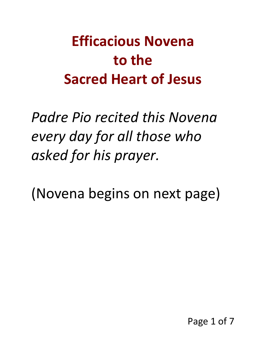## **Efficacious Novena to the Sacred Heart of Jesus**

*Padre Pio recited this Novena every day for all those who asked for his prayer.* 

(Novena begins on next page)

Page 1 of 7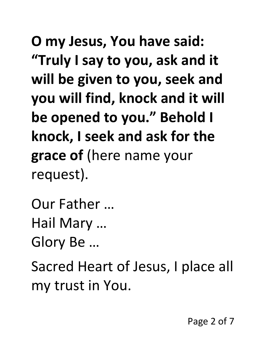**O my Jesus, You have said: "Truly I say to you, ask and it will be given to you, seek and you will find, knock and it will be opened to you." Behold I knock, I seek and ask for the grace of** (here name your request).

Our Father … Hail Mary … Glory Be …

Sacred Heart of Jesus, I place all my trust in You.

Page 2 of 7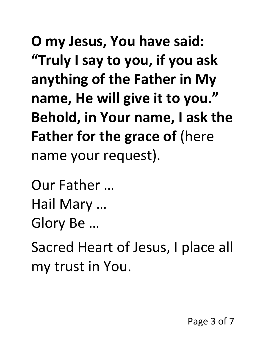**O my Jesus, You have said: "Truly I say to you, if you ask anything of the Father in My name, He will give it to you." Behold, in Your name, I ask the Father for the grace of (here** name your request).

Our Father … Hail Mary … Glory Be …

Sacred Heart of Jesus, I place all my trust in You.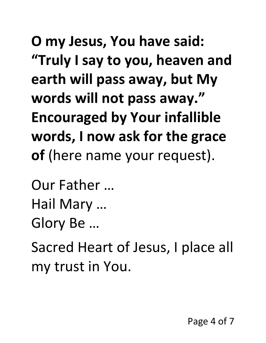**O my Jesus, You have said: "Truly I say to you, heaven and earth will pass away, but My words will not pass away." Encouraged by Your infallible words, I now ask for the grace of** (here name your request).

Our Father … Hail Mary …

Glory Be …

Sacred Heart of Jesus, I place all my trust in You.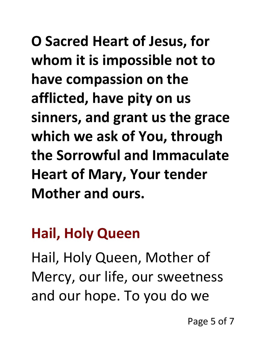**O Sacred Heart of Jesus, for whom it is impossible not to have compassion on the afflicted, have pity on us sinners, and grant us the grace which we ask of You, through the Sorrowful and Immaculate Heart of Mary, Your tender Mother and ours.** 

## **Hail, Holy Queen**

Hail, Holy Queen, Mother of Mercy, our life, our sweetness and our hope. To you do we

Page 5 of 7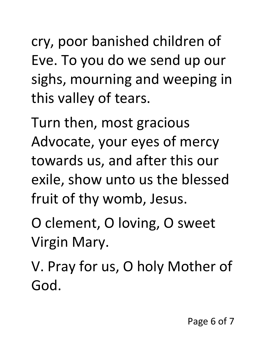cry, poor banished children of Eve. To you do we send up our sighs, mourning and weeping in this valley of tears.

Turn then, most gracious Advocate, your eyes of mercy towards us, and after this our exile, show unto us the blessed fruit of thy womb, Jesus.

O clement, O loving, O sweet Virgin Mary.

V. Pray for us, O holy Mother of God.